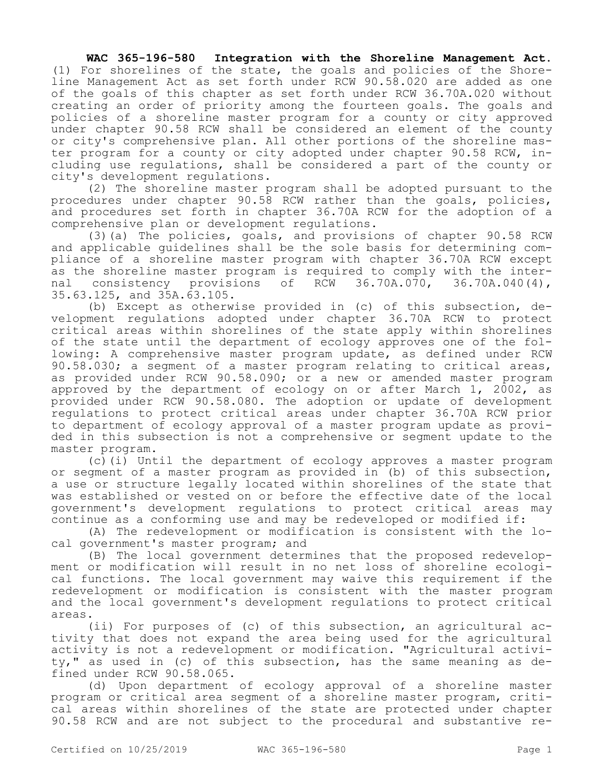## **WAC 365-196-580 Integration with the Shoreline Management Act.**

(1) For shorelines of the state, the goals and policies of the Shoreline Management Act as set forth under RCW 90.58.020 are added as one of the goals of this chapter as set forth under RCW 36.70A.020 without creating an order of priority among the fourteen goals. The goals and policies of a shoreline master program for a county or city approved under chapter 90.58 RCW shall be considered an element of the county or city's comprehensive plan. All other portions of the shoreline master program for a county or city adopted under chapter 90.58 RCW, including use regulations, shall be considered a part of the county or city's development regulations.

(2) The shoreline master program shall be adopted pursuant to the procedures under chapter 90.58 RCW rather than the goals, policies, and procedures set forth in chapter 36.70A RCW for the adoption of a comprehensive plan or development regulations.

(3)(a) The policies, goals, and provisions of chapter 90.58 RCW and applicable guidelines shall be the sole basis for determining compliance of a shoreline master program with chapter 36.70A RCW except as the shoreline master program is required to comply with the internal consistency provisions of RCW 36.70A.070, 36.70A.040(4), 35.63.125, and 35A.63.105.

(b) Except as otherwise provided in (c) of this subsection, development regulations adopted under chapter 36.70A RCW to protect critical areas within shorelines of the state apply within shorelines of the state until the department of ecology approves one of the following: A comprehensive master program update, as defined under RCW 90.58.030; a segment of a master program relating to critical areas, as provided under RCW 90.58.090; or a new or amended master program approved by the department of ecology on or after March 1, 2002, as provided under RCW 90.58.080. The adoption or update of development regulations to protect critical areas under chapter 36.70A RCW prior to department of ecology approval of a master program update as provided in this subsection is not a comprehensive or segment update to the master program.

(c)(i) Until the department of ecology approves a master program or segment of a master program as provided in (b) of this subsection, a use or structure legally located within shorelines of the state that was established or vested on or before the effective date of the local government's development regulations to protect critical areas may continue as a conforming use and may be redeveloped or modified if:

(A) The redevelopment or modification is consistent with the local government's master program; and

(B) The local government determines that the proposed redevelopment or modification will result in no net loss of shoreline ecological functions. The local government may waive this requirement if the redevelopment or modification is consistent with the master program and the local government's development regulations to protect critical areas.

(ii) For purposes of (c) of this subsection, an agricultural activity that does not expand the area being used for the agricultural activity is not a redevelopment or modification. "Agricultural activity," as used in (c) of this subsection, has the same meaning as defined under RCW 90.58.065.

(d) Upon department of ecology approval of a shoreline master program or critical area segment of a shoreline master program, critical areas within shorelines of the state are protected under chapter 90.58 RCW and are not subject to the procedural and substantive re